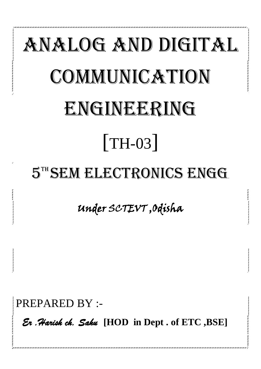# ANALOG AND DIGITAL COMMUNICATION ENGINEERING [TH-03] 5TH SEM ELECTRONICS ENGG.

# Under SCTEVT ,Odisha

PREPARED BY :-

 *Er .Harish ch. Sahu* **[HOD in Dept . of ETC ,BSE]**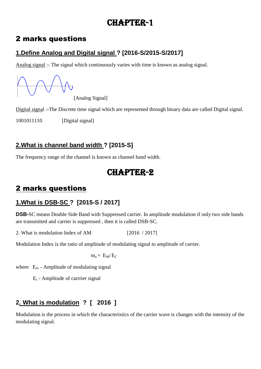# CHAPTER-1

## 2 marks questions

## **1.Define Analog and Digital signal ? [2016-S/2015-S/2017]**

Analog signal :- The signal which continuously varies with time is known as analog signal.

[Analog Signal]

Digital signal :-The Discrete time signal which are represented through binary data are called Digital signal.

1001011110 [Digital signal]

## **2.What is channel band width ? [2015-S]**

The frequency range of the channel is known as channel band width.

# CHAPTER-2

# 2 marks questions

## **1.What is DSB-SC ? [2015-S / 2017]**

**DSB-**SC means Double Side Band with Suppressed carrier. In amplitude modulation if only two side bands are transmitted and carrier is suppressed , then it is called DSB-SC.

2. What is modulation Index of AM [2016 / 2017]

Modulation Index is the ratio of amplitude of modulating signal to amplitude of carrier.

$$
m_a = E_M/E_C
$$

where  $E_m$  - Amplitude of modulating signal

Ec - Amplitude of carrrier signal

## **2. What is modulation ? [ 2016 ]**

Modulation is the process in which the characteristics of the carrier wave is changes with the intensity of the modulating signal.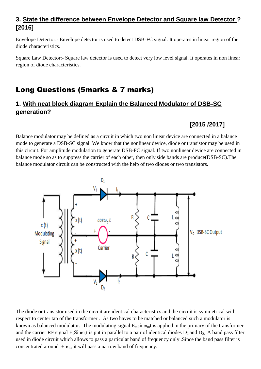#### **3. State the difference between Envelope Detector and Square law Detector ? [2016]**

Envelope Detector:- Envelope detector is used to detect DSB-FC signal. It operates in linear region of the diode characteristics.

Square Law Detector:- Square law detector is used to detect very low level signal. It operates in non linear region of diode characteristics.

## Long Questions (5marks & 7 marks)

#### **1. With neat block diagram Explain the Balanced Modulator of DSB-SC generation?**

#### **[2015 /2017]**

Balance modulator may be defined as a circuit in which two non linear device are connected in a balance mode to generate a DSB-SC signal. We know that the nonlinear device, diode or transistor may be used in this circuit. For amplitude modulation to generate DSB-FC signal. If two nonlinear device are connected in balance mode so as to suppress the carrier of each other, then only side bands are produce(DSB-SC).The balance modulator circuit can be constructed with the help of two diodes or two transistors.



The diode or transistor used in the circuit are identical characteristics and the circuit is symmetrical with respect to center tap of the transformer . As two haves to be matched or balanced such a modulator is known as balanced modulator. The modulating signal  $E_m sin\omega_m t$  is applied in the primary of the transformer and the carrier RF signal  $E_c \text{Sino}_c t$  is put in parallel to a pair of identical diodes  $D_1$  and  $D_2$ . A band pass filter used in diode circuit which allows to pass a particular band of frequency only .Since the band pass filter is concentrated around  $\pm \omega_c$ , it will pass a narrow band of frequency.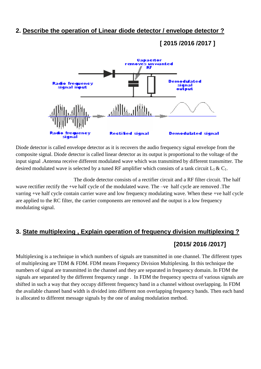#### **2. Describe the operation of Linear diode detector / envelope detector ?**

#### **[ 2015 /2016 /2017 ]**



Diode detector is called envelope detector as it is recovers the audio frequency signal envelope from the composite signal. Diode detector is called linear detector as its output is proportional to the voltage of the input signal .Antenna receive different modulated wave which was transmitted by different transmitter. The desired modulated wave is selected by a tuned RF amplifier which consists of a tank circuit  $L_1 \& C_1$ .

 The diode detector consists of a rectifier circuit and a RF filter circuit. The half wave rectifier rectify the +ve half cycle of the modulated wave. The –ve half cycle are removed .The varring +ve half cycle contain carrier wave and low frequency modulating wave. When these +ve half cycle are applied to the RC filter, the carrier components are removed and the output is a low frequency modulating signal.

# **3. State multiplexing , Explain operation of frequency division multiplexing ? [2015/ 2016 /2017]**

Multiplexing is a technique in which numbers of signals are transmitted in one channel. The different types of multiplexing are TDM & FDM. FDM means Frequency Division Multiplexing. In this technique the numbers of signal are transmitted in the channel and they are separated in frequency domain. In FDM the signals are separated by the different frequency range . In FDM the frequency spectra of various signals are shifted in such a way that they occupy different frequency band in a channel without overlapping. In FDM the available channel band width is divided into different non overlapping frequency bands. Then each band is allocated to different message signals by the one of analog modulation method.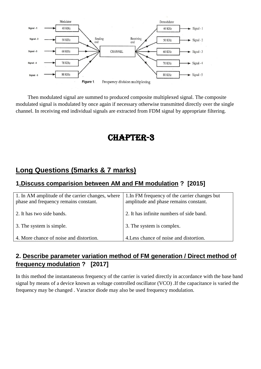

 Then modulated signal are summed to produced composite multiplexed signal. The composite modulated signal is modulated by once again if necessary otherwise transmitted directly over the single channel. In receiving end individual signals are extracted from FDM signal by appropriate filtering.

# CHAPTER-3

## **Long Questions (5marks & 7 marks)**

#### **1.Discuss comparision between AM and FM modulation ? [2015]**

| 1. In AM amplitude of the carrier changes, where<br>phase and frequency remains constant. | 1. In FM frequency of the carrier changes but<br>amplitude and phase remains constant. |
|-------------------------------------------------------------------------------------------|----------------------------------------------------------------------------------------|
| 2. It has two side bands.                                                                 | 2. It has infinite numbers of side band.                                               |
| 3. The system is simple.                                                                  | 3. The system is complex.                                                              |
| 4. More chance of noise and distortion.                                                   | 4. Less chance of noise and distortion.                                                |

#### **2. Describe parameter variation method of FM generation / Direct method of frequency modulation ? [2017]**

In this method the instantaneous frequency of the carrier is varied directly in accordance with the base band signal by means of a device known as voltage controlled oscillator (VCO) .If the capacitance is varied the frequency may be changed . Varactor diode may also be used frequency modulation.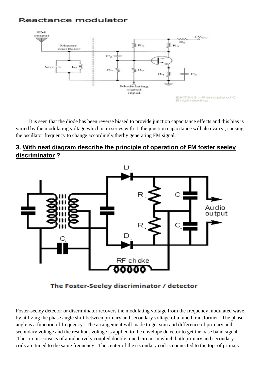#### Reactance modulator



 It is seen that the diode has been reverse biased to provide junction capacitance effects and this bias is varied by the modulating voltage which is in series with it, the junction capacitance will also varry , causing the oscillator frequency to change accordingly,therby generating FM signal.

#### **3. With neat diagram describe the principle of operation of FM foster seeley discriminator ?**



The Foster-Seeley discriminator / detector

Foster-seeley detector or discriminator recovers the modulating voltage from the frequency modulated wave by utilizing the phase angle shift between primary and secondary voltage of a tuned transformer . The phase angle is a function of frequency . The arrangement will made to get sum and difference of primary and secondary voltage and the resultant voltage is applied to the envelope detector to get the base band signal .The circuit consists of a inductively coupled double tuned circuit in which both primary and secondary coils are tuned to the same frequency . The center of the secondary coil is connected to the top of primary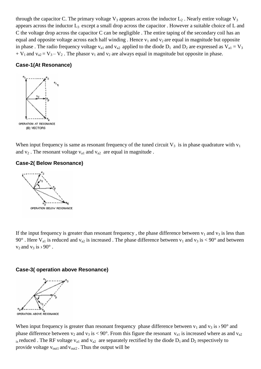through the capacitor C. The primary voltage  $V_3$  appears across the inductor  $L_2$ . Nearly entire voltage  $V_3$ appears across the inductor  $L_3$  except a small drop across the capacitor. However a suitable choice of L and C the voltage drop across the capacitor C can be negligible . The entire taping of the secondary coil has an equal and opposite voltage across each half winding . Hence  $v_1$  and  $v_2$  are equal in magnitude but opposite in phase . The radio frequency voltage  $v_{a1}$  and  $v_{a2}$  applied to the diode  $D_1$  and  $D_2$  are expressed as  $V_{a1} = V_3$  $+ V_1$  and  $v_{a2} = V_3 - V_2$ . The phasor  $v_1$  and  $v_2$  are always equal in magnitude but opposite in phase.

#### **Case-1(At Resonance)**



When input frequency is same as resonant frequency of the tuned circuit  $V_3$  is in phase quadrature with  $v_1$ and  $v_2$ . The resonant voltage  $v_{a1}$  and  $v_{a2}$  are equal in magnitude.

#### **Case-2( Below Resonance)**



If the input frequency is greater than resonant frequency, the phase difference between  $v_1$  and  $v_3$  is less than 90°. Here  $V_{a1}$  is reduced and  $v_{a2}$  is increased. The phase difference between  $v_1$  and  $v_3$  is < 90° and between  $v_2$  and  $v_3$  is  $\rightarrow$  90 $\degree$ .

#### **Case-3( operation above Resonance)**



When input frequency is greater than resonant frequency phase difference between  $v_1$  and  $v_3$  is  $\rightarrow$  90° and phase difference between  $v_2$  and  $v_3$  is < 90°. From this figure the resonant  $v_{a1}$  is increased where as and  $v_{a2}$  $_{1s}$  reduced . The RF voltage  $v_{a1}$  and  $v_{a2}$  are separately rectified by the diode  $D_1$  and  $D_2$  respectively to provide voltage  $v_{\text{out1}}$  and  $v_{\text{out2}}$ . Thus the output will be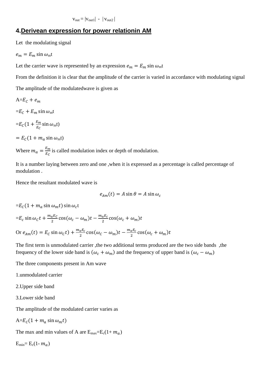$v_{\text{out}} = |v_{\text{out}}| - |v_{\text{out}}|$ 

#### **4.Derivean expression for power relationin AM**

Let the modulating signal

 $e_m = E_m \sin \omega_m t$ 

Let the carrier wave is represented by an expression  $e_m = E_m \sin \omega_m t$ 

From the definition it is clear that the amplitude of the carrier is varied in accordance with modulating signal

The amplitude of the modulatedwave is given as

 $A=E_C+e_m$ 

 $=E_c + E_m \sin \omega_m t$ 

$$
=E_C(1+\frac{E_m}{E_C}\sin\omega_m t)
$$

 $= E_c(1 + m_a \sin \omega_m t)$ 

Where  $m_a = \frac{E}{E}$  $\frac{E_m}{E_c}$  is called modulation index or depth of modulation.

It is a number laying between zero and one ,when it is expressed as a percentage is called percentage of modulation .

Hence the resultant modulated wave is

$$
e_{Am}(t) = A \sin \theta = A \sin \omega_c
$$

```
=E_c(1 + m_a \sin \omega_m t) \sin \omega_c t
```

$$
=E_c \sin \omega_c t + \frac{m_a E_c}{2} \cos(\omega_c - \omega_m)t - \frac{m_a E_c}{2} \cos(\omega_c + \omega_m)t
$$
  
Or  $e_{Am}(t) = E_c \sin \omega_c t + \frac{m_a E_c}{2} \cos(\omega_c - \omega_m)t - \frac{m_a E_c}{2} \cos(\omega_c + \omega_m)t$ 

The first term is unmodulated carrier ,the two additional terms produced are the two side bands ,the frequency of the lower side band is  $(\omega_c + \omega_m)$  and the frequency of upper band is  $(\omega_c - \omega_m)$ 

The three components present in Am wave

1.unmodulated carrier

2.Upper side band

3.Lower side band

The amplitude of the modulated carrier varies as

$$
A = E_c (1 + m_a \sin \omega_m t)
$$

The max and min values of A are  $E_{\text{max}}=E_c(1+m_a)$ 

 $E_{min}= E_c(1-m_a)$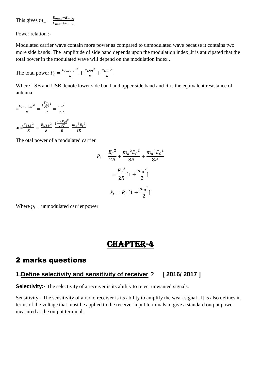This gives  $m_a = \frac{E}{E}$ E

Power relation :-

Modulated carrier wave contain more power as compared to unmodulated wave because it contains two more side bands .The amplitude of side band depends upon the modulation index ,it is anticipated that the total power in the modulated wave will depend on the modulation index .

The total power  $P_t = \frac{E_{carrier}^2}{R}$  $\frac{rier^2}{R} + \frac{E_{LSB}^2}{R}$  $\frac{SB^2}{R} + \frac{E_{USE}^2}{R}$  $\overline{R}$ 

Where LSB and USB denote lower side band and upper side band and R is the equivalent resistance of antenna

 $=\frac{E_{carrier}^2}{R}$  $\frac{rrier^2}{R} = \frac{(\frac{E}{\sqrt{2}})}{(\frac{E}{\sqrt{2}})}$  $\frac{E_C}{\sqrt{2}}$ <sup>2</sup>  $\frac{\frac{L}{2}}{R} = \frac{E_c^2}{2R}$  $\overline{\mathbf{c}}$ and $\frac{E_{LSB}^2}{R}$  $\frac{SB^2}{R} = \frac{E_{USE}^2}{R}$  $\frac{{^{1}S}B}^{2}}{R} = \frac{(\frac{m_{a}E_{c})}{2\sqrt{2}}}{R}$  $2\sqrt{2}$  $\overline{\mathbf{c}}$  $\frac{12C}{R}$  =  $\frac{m_a^2E_c^2}{8R}$ 8

The otal power of a modulated carrier

$$
P_t = \frac{E_c^2}{2R} + \frac{m_a^2 E_c^2}{8R} + \frac{m_a^2 E_c^2}{8R}
$$

$$
= \frac{E_c^2}{2R} [1 + \frac{m_a^2}{2}]
$$

$$
P_t = P_c [1 + \frac{m_a^2}{2}]
$$

Where  $p_t$  = unmodulated carrier power

# CHAPTER-4

## 2 marks questions

#### **1.Define selectivity and sensitivity of receiver ? [ 2016/ 2017 ]**

**Selectivity:** The selectivity of a receiver is its ability to reject unwanted signals.

Sensitivity:- The sensitivity of a radio receiver is its ability to amplify the weak signal . It is also defines in terms of the voltage that must be applied to the receiver input terminals to give a standard output power measured at the output terminal.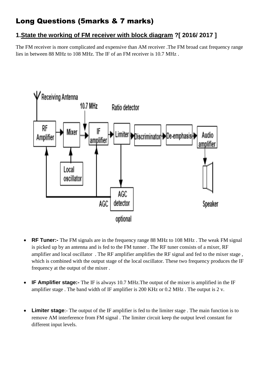# Long Questions (5marks & 7 marks)

#### **1.State the working of FM receiver with block diagram ?[ 2016/ 2017 ]**

The FM receiver is more complicated and expensive than AM receiver .The FM broad cast frequency range lies in between 88 MHz to 108 MHz. The IF of an FM receiver is 10.7 MHz .



- **RF Tuner:-** The FM signals are in the frequency range 88 MHz to 108 MHz . The weak FM signal is picked up by an antenna and is fed to the FM tunner . The RF tuner consists of a mixer, RF amplifier and local oscillator . The RF amplifier amplifies the RF signal and fed to the mixer stage , which is combined with the output stage of the local oscillator. These two frequency produces the IF frequency at the output of the mixer .
- **IF Amplifier stage:-** The IF is always 10.7 MHz.The output of the mixer is amplified in the IF amplifier stage . The band width of IF amplifier is 200 KHz or 0.2 MHz . The output is 2 v.
- **Limiter stage**:- The output of the IF amplifier is fed to the limiter stage . The main function is to remove AM interference from FM signal . The limiter circuit keep the output level constant for different input levels.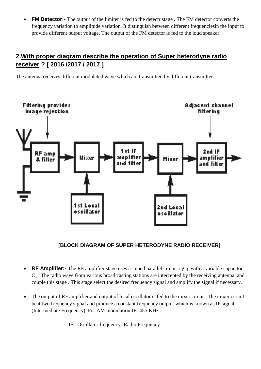**FM Detector:**- The output of the limiter is fed to the detectr stage. The FM detector converts the frequency variation to amplitude variation. It distinguish between different frequenciesin the input to provide different output voltage. The output of the FM detector is fed to the loud speaker.

#### **2.With proper diagram describe the operation of Super heterodyne radio receiver ? [ 2016 /2017 / 2017 ]**

The antenna receives different modulated wave which are transmitted by different transmitter.



#### **[BLOCK DIAGRAM OF SUPER HETERODYNE RADIO RECEIVER]**

- **RF Amplifier:** The RF amplifier stage uses a tuned parallel circuit  $L_1C_1$  with a variable capacitor  $C_1$ . The radio wave from various broad casting stations are intercepted by the receiving antenna and couple this stage . This stage select the desired frequency signal and amplify the signal if necessary.
- The output of RF amplifier and output of local oscillator is fed to the mixer circuit. The mixer circuit beat two frequency signal and produce a constant frequency output which is known as IF signal (Intermediate Frequency). For AM modulation IF=455 KHz .

IF= Oscillator frequency- Radio Frequency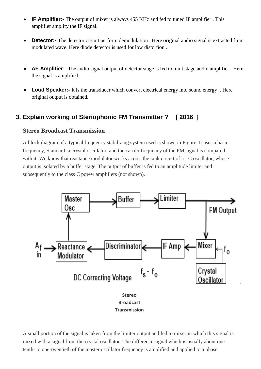- **IF Amplifier:-** The output of mixer is always 455 KHz and fed to tuned IF amplifier . This amplifier amplify the IF signal.
- **Detector:-** The detector circuit perform demodulation . Here original audio signal is extracted from modulated wave. Here diode detector is used for low distortion .
- **AF Amplifier:-** The audio signal output of detector stage is fed to multistage audio amplifier . Here the signal is amplified .
- **Loud Speaker:** It is the transducer which convert electrical energy into sound energy. Here original output is obtained**.**

#### **3. Explain working of Steriophonic FM Transmitter ? [ 2016 ]**

#### **Stereo Broadcast Transmission**

A block diagram of a typical frequency stabilizing system used is shown in Figure. It uses a basic frequency, Standard, a crystal oscillator, and the carrier frequency of the FM signal is compared with it. We know that reactance modulator works across the tank circuit of a LC oscillator, whose output is isolated by a buffer stage. The output of buffer is fed to an amplitude limiter and subsequently to the class C power amplifiers (not shown).



A small portion of the signal is taken from the limiter output and fed to mixer in which this signal is mixed with a signal from the crystal oscillator. The difference signal which is usually about onetenth- to one-twentieth of the master oscillator frequency is amplified and applied to a phase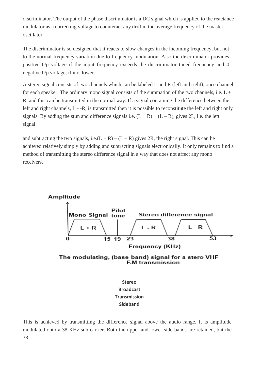discriminator. The output of the phase discriminator is a DC signal which is applied to the reactance modulator as a correcting voltage to counteract any drift in the average frequency of the master oscillator.

The discriminator is so designed that it reacts to slow changes in the incoming frequency, but not to the normal frequency variation due to frequency modulation. Also the discriminator provides positive 0/p voltage if the input frequency exceeds the discriminator tuned frequency and 0 negative 0/p voltage, if it is lower.

A stereo signal consists of two channels which can be labeled L and R (left and right), once channel for each speaker. The ordinary mono signal consists of the summation of the two channels, i.e.  $L +$ R, and this can be transmitted in the normal way. If a signal containing the difference between the left and right channels, L - -R, is transmitted then it is possible to reconstitute the left and right only signals. By adding the stun and difference signals i.e.  $(L + R) + (L - R)$ , gives 2L, i.e. the left signal.

and subtracting the two signals, i.e. $(L + R) - (L - R)$  gives 2R, the right signal. This can he achieved relatively simply by adding and subtracting signals electronically. It only remains to find a method of transmitting the stereo difference signal in a way that does not affect any mono receivers.





This is achieved by transmitting the difference signal above the audio range. It is amplitude modulated onto a 38 KHz sub-carrier. Both the upper and lower side-bands are retained, but the 38.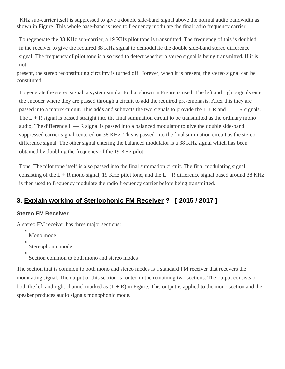KHz sub-carrier itself is suppressed to give a double side-band signal above the normal audio bandwidth as shown in Figure This whole base-band is used to frequency modulate the final radio frequency carrier

To regenerate the 38 KHz sub-carrier, a 19 KHz pilot tone is transmitted. The frequency of this is doubled in the receiver to give the required 38 KHz signal to demodulate the double side-band stereo difference signal. The frequency of pilot tone is also used to detect whether a stereo signal is being transmitted. If it is not

present, the stereo reconstituting circuitry is turned off. Forever, when it is present, the stereo signal can be constituted.

To generate the stereo signal, a system similar to that shown in Figure is used. The left and right signals enter the encoder where they are passed through a circuit to add the required pre-emphasis. After this they are passed into a matrix circuit. This adds and subtracts the two signals to provide the  $L + R$  and  $L - R$  signals. The  $L + R$  signal is passed straight into the final summation circuit to be transmitted as the ordinary mono audio, The difference  $L - R$  signal is passed into a balanced modulator to give the double side-band suppressed carrier signal centered on 38 KHz. This is passed into the final summation circuit as the stereo difference signal. The other signal entering the balanced modulator is a 38 KHz signal which has been obtained by doubling the frequency of the 19 KHz pilot

Tone. The pilot tone itself is also passed into the final summation circuit. The final modulating signal consisting of the  $L + R$  mono signal, 19 KHz pilot tone, and the  $L - R$  difference signal based around 38 KHz is then used to frequency modulate the radio frequency carrier before being transmitted.

#### **3. Explain working of Steriophonic FM Receiver ? [ 2015 / 2017 ]**

#### **Stereo FM Receiver**

A stereo FM receiver has three major sections:

- Mono mode
- Stereophonic mode
- Section common to both mono and stereo modes

The section that is common to both mono and stereo modes is a standard FM receiver that recovers the modulating signal. The output of this section is routed to the remaining two sections. The output consists of both the left and right channel marked as  $(L + R)$  in Figure. This output is applied to the mono section and the speaker produces audio signals monophonic mode.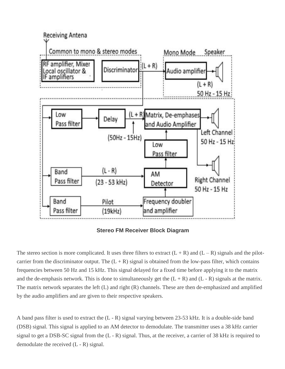

**Stereo FM Receiver Block Diagram**

The stereo section is more complicated. It uses three filters to extract  $(L + R)$  and  $(L - R)$  signals and the pilotcarrier from the discriminator output. The  $(L + R)$  signal is obtained from the low-pass filter, which contains frequencies between 50 Hz and 15 kHz. This signal delayed for a fixed time before applying it to the matrix and the de-emphasis network. This is done to simultaneously get the  $(L + R)$  and  $(L - R)$  signals at the matrix. The matrix network separates the left (L) and right (R) channels. These are then de-emphasized and amplified by the audio amplifiers and are given to their respective speakers.

A band pass filter is used to extract the (L - R) signal varying between 23-53 kHz. It is a double-side band (DSB) signal. This signal is applied to an AM detector to demodulate. The transmitter uses a 38 kHz carrier signal to get a DSB-SC signal from the (L - R) signal. Thus, at the receiver, a carrier of 38 kHz is required to demodulate the received (L - R) signal.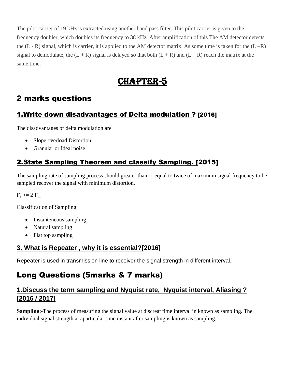The pilot carrier of 19 kHz is extracted using another band pass filter. This pilot carrier is given to the frequency doubler, which doubles its frequency to 38 kHz. After amplification of this The AM detector detects the  $(L - R)$  signal, which is carrier, it is applied to the AM detector matrix. As some time is taken for the  $(L - R)$ signal to demodulate, the  $(L + R)$  signal is delayed so that both  $(L + R)$  and  $(L - R)$  reach the matrix at the same time.

# CHAPTER-5

## 2 marks questions

## 1.Write down disadvantages of Delta modulation ? [2016]

The disadvantages of delta modulation are

- Slope overload Distortion
- Granular or Ideal noise

## 2.State Sampling Theorem and classify Sampling. [2015]

The sampling rate of sampling process should greater than or equal to twice of maximum signal frequency to be sampled recover the signal with minimum distortion.

 $F_s \geq 2 F_m$ 

Classification of Sampling:

- Instanteneous sampling
- Natural sampling
- Flat top sampling

## **3. What is Repeater , why it is essential?[2016]**

Repeater is used in transmission line to receiver the signal strength in different interval.

# Long Questions (5marks & 7 marks)

#### **1.Discuss the term sampling and Nyquist rate, Nyquist interval, Aliasing ? [2016 / 2017]**

**Sampling**:-The process of measuring the signal value at discreat time interval in known as sampling. The individual signal strength at aparticular time instant after sampling is known as sampling.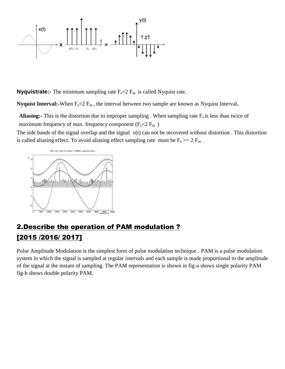

**Nyquistrate:-** The minimum sampling rate  $F_s = 2 F_m$  is called Nyquist rate.

**Nyquist Interval:-**When F<sub>s</sub>=2 F<sub>m</sub>, the interval between two sample are known as Nyquist Interval.

**Aliasing:**- This is the distortion due to improper sampling . When sampling rate  $F_s$  is less than twice of maximum frequency of max. frequency component ( $F_s < 2 F_m$ )

The side bands of the signal overlap and the signal  $x(t)$  can not be recovered without distortion. This distortion is called aliasing effect. To avoid aliasing effect sampling rate must be  $F_s \ge 2 F_m$ .



## 2.Describe the operation of PAM modulation ? [2015 /2016/ 2017]

Pulse Amplitude Modulation is the simplest form of pulse modulation technique . PAM is a pulse modulation system in which the signal is sampled at regular intervals and each sample is made proportional to the amplitude of the signal at the instant of sampling. The PAM representation is shown in fig-a shows single polarity PAM fig-b shows double polarity PAM.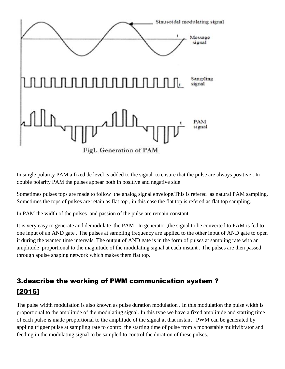

In single polarity PAM a fixed dc level is added to the signal to ensure that the pulse are always positive . In double polarity PAM the pulses appear both in positive and negative side

Sometimes pulses tops are made to follow the analog signal envelope.This is refered as natural PAM sampling. Sometimes the tops of pulses are retain as flat top , in this case the flat top is refered as flat top sampling.

In PAM the width of the pulses and passion of the pulse are remain constant.

It is very easy to generate and demodulate the PAM . In generator ,the signal to be converted to PAM is fed to one input of an AND gate . The pulses at sampling frequency are applied to the other input of AND gate to open it during the wanted time intervals. The output of AND gate is in the form of pulses at sampling rate with an amplitude proportional to the magnitude of the modulating signal at each instant . The pulses are then passed through apulse shaping network which makes them flat top.

## 3.describe the working of PWM communication system ? [2016]

The pulse width modulation is also known as pulse duration modulation . In this modulation the pulse width is proportional to the amplitude of the modulating signal. In this type we have a fixed amplitude and starting time of each pulse is made proportional to the amplitude of the signal at that instant . PWM can be generated by appling trigger pulse at sampling rate to control the starting time of pulse from a monostable multivibrator and feeding in the modulating signal to be sampled to control the duration of these pulses.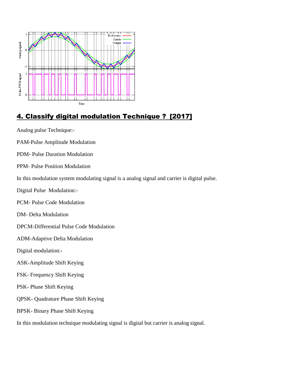

## 4. Classify digital modulation Technique ? [2017]

Analog pulse Technique:-

PAM-Pulse Amplitude Modulation

PDM- Pulse Duration Modulation

PPM- Pulse Position Modulation

In this modulation system modulating signal is a analog signal and carrier is digital pulse.

Digital Pulse Modulation:-

PCM- Pulse Code Modulation

DM- Delta Modulation

DPCM-Differential Pulse Code Modulation

ADM-Adaptive Delta Modulation

Digital modulation:-

- ASK-Amplitude Shift Keying
- FSK- Frequency Shift Keying
- PSK- Phase Shift Keying
- QPSK- Quadrature Phase Shift Keying
- BPSK- Binary Phase Shift Keying

In this modulation technique modulating signal is digital but carrier is analog signal.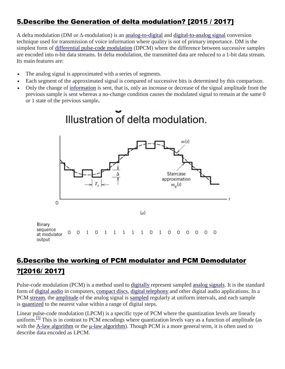## 5.Describe the Generation of delta modulation? [2015 / 2017]

A delta modulation (DM or Δ-modulation) is an [analog-to-digital](https://en.wikipedia.org/wiki/Analog-to-digital_converter) and [digital-to-analog signal](https://en.wikipedia.org/wiki/Digital-to-analog_converter) conversion technique used for transmission of voice information where quality is not of primary importance. DM is the simplest form of [differential pulse-code modulation](https://en.wikipedia.org/wiki/Differential_pulse-code_modulation) (DPCM) where the difference between successive samples are encoded into n-bit data streams. In delta modulation, the transmitted data are reduced to a 1-bit data stream. Its main features are:

- The analog signal is approximated with a series of segments.
- Each segment of the approximated signal is compared of successive bits is determined by this comparison.
- Only the change of [information](https://en.wikipedia.org/wiki/Information) is sent, that is, only an increase or decrease of the signal amplitude from the previous sample is sent whereas a no-change condition causes the modulated signal to remain at the same 0 or 1 state of the previous sample**.**



## 6.Describe the working of PCM modulator and PCM Demodulator ?[2016/ 2017]

Pulse-code modulation (PCM) is a method used to [digitally](https://en.wikipedia.org/wiki/Digital_signal_(signal_processing)) represent sampled [analog signals.](https://en.wikipedia.org/wiki/Analog_signal) It is the standard form of [digital audio](https://en.wikipedia.org/wiki/Digital_audio) in computers, [compact discs,](https://en.wikipedia.org/wiki/Compact_disc) [digital telephony](https://en.wikipedia.org/wiki/Digital_telephony) and other digital audio applications. In a PCM [stream,](https://en.wikipedia.org/wiki/Stream_(computing)) the [amplitude](https://en.wikipedia.org/wiki/Amplitude) of the analog signal is [sampled](https://en.wikipedia.org/wiki/Sampling_(signal_processing)) regularly at uniform intervals, and each sample is [quantized](https://en.wikipedia.org/wiki/Quantization_(signal_processing)) to the nearest value within a range of digital steps.

Linear pulse-code modulation (LPCM) is a specific type of PCM where the quantization levels are linearly uniform.<sup>[\[5\]](https://en.wikipedia.org/wiki/Pulse-code_modulation#cite_note-LOC1-5)</sup> This is in contrast to PCM encodings where quantization levels vary as a function of amplitude (as with the [A-law algorithm](https://en.wikipedia.org/wiki/A-law) or the [μ-law algorithm\)](https://en.wikipedia.org/wiki/%CE%9C-law). Though PCM is a more general term, it is often used to describe data encoded as LPCM.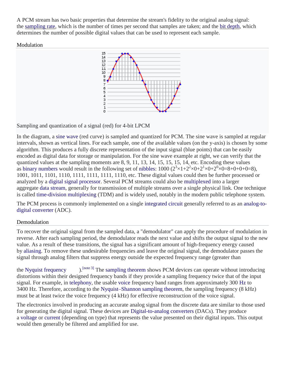A PCM stream has two basic properties that determine the stream's fidelity to the original analog signal: the [sampling rate,](https://en.wikipedia.org/wiki/Sampling_rate) which is the number of times per second that samples are taken; and the [bit depth,](https://en.wikipedia.org/wiki/Audio_bit_depth) which determines the number of possible digital values that can be used to represent each sample.

Modulation



Sampling and quantization of a signal (red) for 4-bit LPCM

In the diagram, a [sine wave](https://en.wikipedia.org/wiki/Sine_wave) (red curve) is sampled and quantized for PCM. The sine wave is sampled at regular intervals, shown as vertical lines. For each sample, one of the available values (on the y-axis) is chosen by some algorithm. This produces a fully discrete representation of the input signal (blue points) that can be easily encoded as digital data for storage or manipulation. For the sine wave example at right, we can verify that the quantized values at the sampling moments are 8, 9, 11, 13, 14, 15, 15, 15, 14, etc. Encoding these values as [binary numbers](https://en.wikipedia.org/wiki/Binary_numeral_system#Counting_in_binary) would result in the following set of [nibbles:](https://en.wikipedia.org/wiki/Nibble)  $1000 (2^3 \times 1 + 2^2 \times 0 + 2^1 \times 0 + 2^0 \times 0 = 8 + 0 + 0 + 0 = 8)$ , 1001, 1011, 1101, 1110, 1111, 1111, 1111, 1110, etc. These digital values could then be further processed or analyzed by a [digital signal processor.](https://en.wikipedia.org/wiki/Digital_signal_processor) Several PCM streams could also be [multiplexed](https://en.wikipedia.org/wiki/Multiplexing) into a larger aggregate [data stream,](https://en.wikipedia.org/wiki/Data_stream) generally for transmission of multiple streams over a single physical link. One technique is called [time-division multiplexing](https://en.wikipedia.org/wiki/Time-division_multiplexing) (TDM) and is widely used, notably in the modern public telephone system.

The PCM process is commonly implemented on a single [integrated circuit](https://en.wikipedia.org/wiki/Integrated_circuit) generally referred to as an [analog-to](https://en.wikipedia.org/wiki/Analog-to-digital_converter)[digital converter](https://en.wikipedia.org/wiki/Analog-to-digital_converter) (ADC).

#### Demodulation

To recover the original signal from the sampled data, a "demodulator" can apply the procedure of modulation in reverse. After each sampling period, the demodulator reads the next value and shifts the output signal to the new value. As a result of these transitions, the signal has a significant amount of high-frequency energy caused by [aliasing.](https://en.wikipedia.org/wiki/Aliasing) To remove these undesirable frequencies and leave the original signal, the demodulator passes the signal through analog filters that suppress energy outside the expected frequency range (greater than

the [Nyquist frequency](https://en.wikipedia.org/wiki/Nyquist_frequency)  $\qquad$ ). [\[note 3\]](https://en.wikipedia.org/wiki/Pulse-code_modulation#cite_note-28) The [sampling theorem](https://en.wikipedia.org/wiki/Sampling_theorem) shows PCM devices can operate without introducing distortions within their designed frequency bands if they provide a sampling frequency twice that of the input signal. For example, in [telephony,](https://en.wikipedia.org/wiki/Telephony) the usable [voice](https://en.wikipedia.org/wiki/Human_voice) frequency band ranges from approximately 300 [Hz](https://en.wikipedia.org/wiki/Hertz) to 3400 Hz. Therefore, according to the [Nyquist–Shannon sampling theorem,](https://en.wikipedia.org/wiki/Nyquist%E2%80%93Shannon_sampling_theorem) the sampling frequency (8 kHz) must be at least twice the voice frequency (4 kHz) for effective reconstruction of the voice signal.

The electronics involved in producing an accurate analog signal from the discrete data are similar to those used for generating the digital signal. These devices are [Digital-to-analog converters](https://en.wikipedia.org/wiki/Digital-to-analog_converter) (DACs). They produce a [voltage](https://en.wikipedia.org/wiki/Voltage) or [current](https://en.wikipedia.org/wiki/Electric_current) (depending on type) that represents the value presented on their digital inputs. This output would then generally be filtered and amplified for use.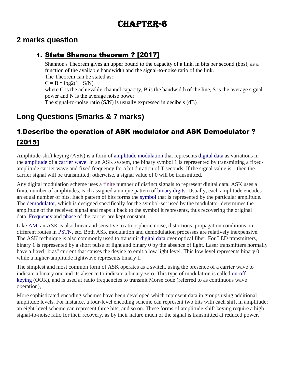# CHAPTER-6

## **2 marks question**

#### 1. State Shanons theorem ? [2017]

Shannon's Theorem gives an upper bound to the capacity of a link, in bits per second (bps), as a function of the available bandwidth and the signal-to-noise ratio of the link. The Theorem can be stated as:  $C = B * log2(1 + S/N)$ where C is the achievable channel capacity, B is the bandwidth of the line, S is the average signal power and N is the average noise power. The signal-to-noise ratio (S/N) is usually expressed in decibels (dB)

## **Long Questions (5marks & 7 marks)**

# 1.Describe the operation of ASK modulator and ASK Demodulator ? [2015]

Amplitude-shift keying (ASK) is a form of [amplitude modulation](https://en.wikipedia.org/wiki/Amplitude_modulation) that represents [digital](https://en.wikipedia.org/wiki/Digital_data) [data](https://en.wikipedia.org/wiki/Data) as variations in the [amplitude](https://en.wikipedia.org/wiki/Amplitude) of a [carrier wave.](https://en.wikipedia.org/wiki/Carrier_wave) In an ASK system, the binary symbol 1 is represented by transmitting a fixedamplitude carrier wave and fixed frequency for a bit duration of T seconds. If the signal value is 1 then the carrier signal will be transmitted; otherwise, a signal value of 0 will be transmitted.

Any digital modulation scheme uses a [finite](https://en.wiktionary.org/wiki/finite) number of distinct signals to represent digital data. ASK uses a finite number of amplitudes, each assigned a unique pattern of [binary digits.](https://en.wikipedia.org/wiki/Bit) Usually, each amplitude encodes an equal number of bits. Each pattern of bits forms the [symbol](https://en.wikipedia.org/wiki/Symbol_(data)) that is represented by the particular amplitude. The [demodulator,](https://en.wikipedia.org/wiki/Demodulator) which is designed specifically for the symbol-set used by the modulator, determines the amplitude of the received signal and maps it back to the symbol it represents, thus recovering the original data. [Frequency](https://en.wikipedia.org/wiki/Frequency) and [phase](https://en.wikipedia.org/wiki/Phase_(waves)) of the carrier are kept constant.

Like [AM,](https://en.wikipedia.org/wiki/Amplitude_modulation) an ASK is also linear and sensitive to atmospheric noise, distortions, propagation conditions on different routes in [PSTN,](https://en.wikipedia.org/wiki/PSTN) etc. Both ASK modulation and demodulation processes are relatively inexpensive. The ASK technique is also commonly used to transmit [digital data](https://en.wikipedia.org/wiki/Digital_data) over optical fiber. For LED transmitters, binary 1 is represented by a short pulse of light and binary 0 by the absence of light. Laser transmitters normally have a fixed "bias" current that causes the device to emit a low light level. This low level represents binary 0, while a higher-amplitude lightwave represents binary 1.

The simplest and most common form of ASK operates as a switch, using the presence of a carrier wave to indicate a binary one and its absence to indicate a binary zero. This type of modulation is called [on-off](https://en.wikipedia.org/wiki/On-off_keying)  [keying](https://en.wikipedia.org/wiki/On-off_keying) (OOK), and is used at radio frequencies to transmit Morse code (referred to as continuous wave operation),

More sophisticated encoding schemes have been developed which represent data in groups using additional amplitude levels. For instance, a four-level encoding scheme can represent two bits with each shift in amplitude; an eight-level scheme can represent three bits; and so on. These forms of amplitude-shift keying require a high signal-to-noise ratio for their recovery, as by their nature much of the signal is transmitted at reduced power.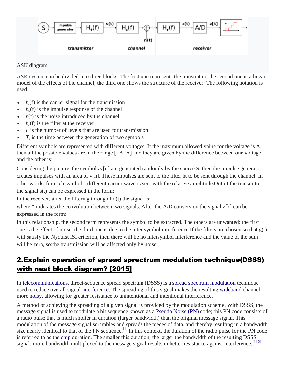

#### ASK diagram

ASK system can be divided into three blocks. The first one represents the transmitter, the second one is a linear model of the effects of the channel, the third one shows the structure of the receiver. The following notation is used:

- $\cdot$   $h_t(f)$  is the carrier signal for the transmission
- $\cdot$   $h_c(f)$  is the impulse response of the channel
- *n*(t) is the noise introduced by the channel
- $h_r(f)$  is the filter at the receiver
- *L* is the number of levels that are used for transmission
- $T<sub>s</sub>$  is the time between the generation of two symbols

Different symbols are represented with different voltages. If the maximum allowed value for the voltage is A, then all the possible values are in the range [−A, A] and they are given by:the difference between one voltage and the other is:

Considering the picture, the symbols v[n] are generated randomly by the source S, then the impulse generator creates impulses with an area of v[n]. These impulses are sent to the filter ht to be sent through the channel. In other words, for each symbol a different carrier wave is sent with the relative amplitude.Out of the transmitter, the signal s(t) can be expressed in the form:

In the receiver, after the filtering through hr (t) the signal is:

where \* indicates the convolution between two signals. After the A/D conversion the signal z[k] can be expressed in the form:

In this relationship, the second term represents the symbol to be extracted. The others are unwanted: the first one is the effect of noise, the third one is due to the inter symbol interference. If the filters are chosen so that  $g(t)$ will satisfy the Nyquist ISI criterion, then there will be no intersymbol interference and the value of the sum will be zero, so: the transmission will be affected only by noise.

## 2.Explain operation of spread sprectrum modulation technique(DSSS) with neat block diagram? [2015]

In [telecommunications,](https://en.wikipedia.org/wiki/Telecommunication) direct-sequence spread spectrum (DSSS) is a [spread spectrum](https://en.wikipedia.org/wiki/Spread_spectrum) [modulation](https://en.wikipedia.org/wiki/Modulation) technique used to reduce overall signal [interference.](https://en.wikipedia.org/wiki/Interference_(communication)) The spreading of this signal makes the resulting [wideband](https://en.wikipedia.org/wiki/Wideband) channel more [noisy,](https://en.wikipedia.org/wiki/White_noise) allowing for greater resistance to unintentional and intentional interference.

A method of achieving the spreading of a given signal is provided by the modulation scheme. With DSSS, the message signal is used to modulate a bit sequence known as a [Pseudo Noise \(PN\)](https://en.wikipedia.org/wiki/Pseudorandom_noise#PN_code) code; this PN code consists of a radio pulse that is much shorter in duration (larger bandwidth) than the original message signal. This modulation of the message signal scrambles and spreads the pieces of data, and thereby resulting in a bandwidth size nearly identical to that of the PN sequence.<sup>[\[1\]](https://en.wikipedia.org/wiki/Direct-sequence_spread_spectrum#cite_note-Haykin4E-1)</sup> In this context, the duration of the radio pulse for the PN code is referred to as the [chip](https://en.wikipedia.org/wiki/Chip_(CDMA)) duration. The smaller this duration, the larger the bandwidth of the resulting DSSS signal; more bandwidth multiplexed to the message signal results in better resistance against interference.<sup>[\[1\]\[2\]](https://en.wikipedia.org/wiki/Direct-sequence_spread_spectrum#cite_note-Haykin4E-1)</sup>